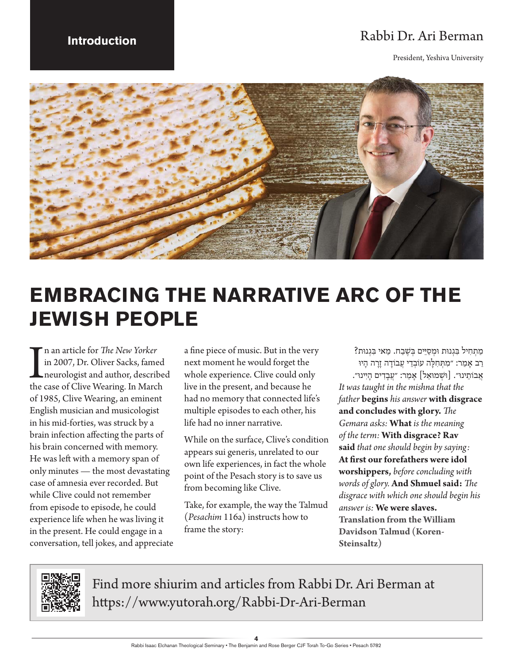## **Introduction** Rabbi Dr. Ari Berman

President, Yeshiva University



# **EMBRACING THE NARRATIVE ARC OF THE JEWISH PEOPLE**

In an article for *The New Yorker*<br>in 2007, Dr. Oliver Sacks, famed<br>neurologist and author, describe<br>the case of Clive Wearing. In March n an article for *The New Yorker* in 2007, Dr. Oliver Sacks, famed neurologist and author, described of 1985, Clive Wearing, an eminent English musician and musicologist in his mid-forties, was struck by a brain infection affecting the parts of his brain concerned with memory. He was left with a memory span of only minutes — the most devastating case of amnesia ever recorded. But while Clive could not remember from episode to episode, he could experience life when he was living it in the present. He could engage in a conversation, tell jokes, and appreciate

a fine piece of music. But in the very next moment he would forget the whole experience. Clive could only live in the present, and because he had no memory that connected life's multiple episodes to each other, his life had no inner narrative.

While on the surface, Clive's condition appears sui generis, unrelated to our own life experiences, in fact the whole point of the Pesach story is to save us from becoming like Clive.

Take, for example, the way the Talmud (*Pesachim* 116a) instructs how to frame the story:

מַתְחִיל בְּגְנוּת וּמְסַיֵּים בְּשֵׁבַח. מַאי בְּגְנוּת? רַב אַמַר: ״מִתְּחִלַּה עוֹבְדֵי עֲבוֹדַה זַרַה הַיוּ אֲבוֹתֵינוּ״. [וּשָׁמוּאֵל] אַמַר: "עֲבָדִים הַיִּינוּ״. *It was taught in the mishna that the father* **begins** *his answer* **with disgrace and concludes with glory.** *The Gemara asks:* **What** *is the meaning of the term:* **With disgrace? Rav said** *that one should begin by saying:*  **At first our forefathers were idol worshippers,** *before concluding with words of glory.* **And Shmuel said:** *The disgrace with which one should begin his answer is:* **We were slaves. Translation from the William Davidson Talmud (Koren-Steinsaltz)**



Find more shiurim and articles from Rabbi Dr. Ari Berman at https://www.yutorah.org/Rabbi-Dr-Ari-Berman